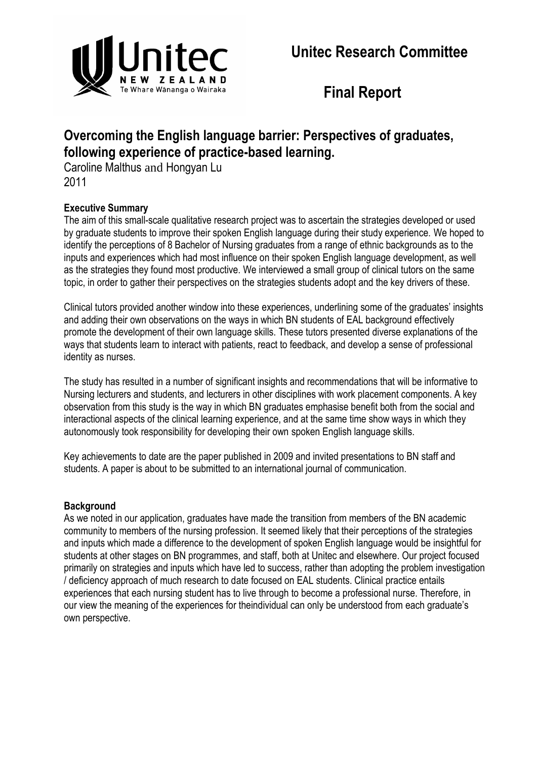

**Final Report**

# **Overcoming the English language barrier: Perspectives of graduates, following experience of practice-based learning.**

Caroline Malthus and Hongyan Lu 2011

# **Executive Summary**

The aim of this small-scale qualitative research project was to ascertain the strategies developed or used by graduate students to improve their spoken English language during their study experience. We hoped to identify the perceptions of 8 Bachelor of Nursing graduates from a range of ethnic backgrounds as to the inputs and experiences which had most influence on their spoken English language development, as well as the strategies they found most productive. We interviewed a small group of clinical tutors on the same topic, in order to gather their perspectives on the strategies students adopt and the key drivers of these.

Clinical tutors provided another window into these experiences, underlining some of the graduates' insights and adding their own observations on the ways in which BN students of EAL background effectively promote the development of their own language skills. These tutors presented diverse explanations of the ways that students learn to interact with patients, react to feedback, and develop a sense of professional identity as nurses.

The study has resulted in a number of significant insights and recommendations that will be informative to Nursing lecturers and students, and lecturers in other disciplines with work placement components. A key observation from this study is the way in which BN graduates emphasise benefit both from the social and interactional aspects of the clinical learning experience, and at the same time show ways in which they autonomously took responsibility for developing their own spoken English language skills.

Key achievements to date are the paper published in 2009 and invited presentations to BN staff and students. A paper is about to be submitted to an international journal of communication.

# **Background**

As we noted in our application, graduates have made the transition from members of the BN academic community to members of the nursing profession. It seemed likely that their perceptions of the strategies and inputs which made a difference to the development of spoken English language would be insightful for students at other stages on BN programmes, and staff, both at Unitec and elsewhere. Our project focused primarily on strategies and inputs which have led to success, rather than adopting the problem investigation / deficiency approach of much research to date focused on EAL students. Clinical practice entails experiences that each nursing student has to live through to become a professional nurse. Therefore, in our view the meaning of the experiences for theindividual can only be understood from each graduate's own perspective.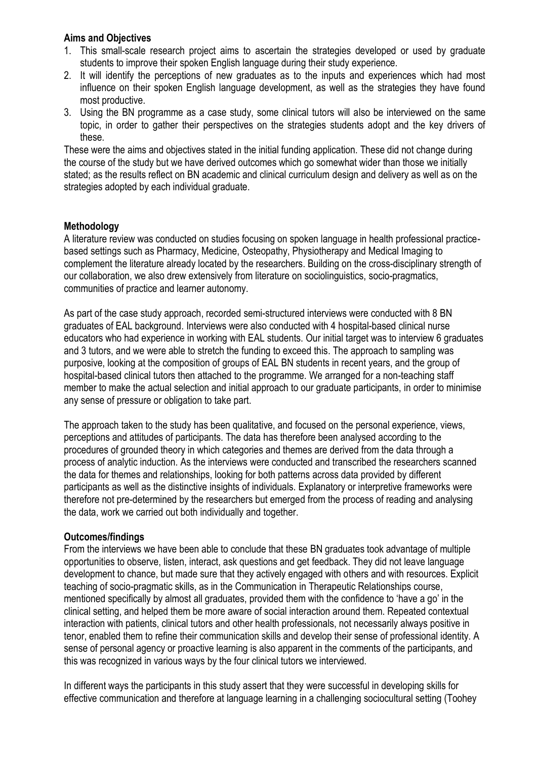#### **Aims and Objectives**

- 1. This small-scale research project aims to ascertain the strategies developed or used by graduate students to improve their spoken English language during their study experience.
- 2. It will identify the perceptions of new graduates as to the inputs and experiences which had most influence on their spoken English language development, as well as the strategies they have found most productive.
- 3. Using the BN programme as a case study, some clinical tutors will also be interviewed on the same topic, in order to gather their perspectives on the strategies students adopt and the key drivers of these.

These were the aims and objectives stated in the initial funding application. These did not change during the course of the study but we have derived outcomes which go somewhat wider than those we initially stated; as the results reflect on BN academic and clinical curriculum design and delivery as well as on the strategies adopted by each individual graduate.

#### **Methodology**

A literature review was conducted on studies focusing on spoken language in health professional practicebased settings such as Pharmacy, Medicine, Osteopathy, Physiotherapy and Medical Imaging to complement the literature already located by the researchers. Building on the cross-disciplinary strength of our collaboration, we also drew extensively from literature on sociolinguistics, socio-pragmatics, communities of practice and learner autonomy.

As part of the case study approach, recorded semi-structured interviews were conducted with 8 BN graduates of EAL background. Interviews were also conducted with 4 hospital-based clinical nurse educators who had experience in working with EAL students. Our initial target was to interview 6 graduates and 3 tutors, and we were able to stretch the funding to exceed this. The approach to sampling was purposive, looking at the composition of groups of EAL BN students in recent years, and the group of hospital-based clinical tutors then attached to the programme. We arranged for a non-teaching staff member to make the actual selection and initial approach to our graduate participants, in order to minimise any sense of pressure or obligation to take part.

The approach taken to the study has been qualitative, and focused on the personal experience, views, perceptions and attitudes of participants. The data has therefore been analysed according to the procedures of grounded theory in which categories and themes are derived from the data through a process of analytic induction. As the interviews were conducted and transcribed the researchers scanned the data for themes and relationships, looking for both patterns across data provided by different participants as well as the distinctive insights of individuals. Explanatory or interpretive frameworks were therefore not pre-determined by the researchers but emerged from the process of reading and analysing the data, work we carried out both individually and together.

#### **Outcomes/findings**

From the interviews we have been able to conclude that these BN graduates took advantage of multiple opportunities to observe, listen, interact, ask questions and get feedback. They did not leave language development to chance, but made sure that they actively engaged with others and with resources. Explicit teaching of socio-pragmatic skills, as in the Communication in Therapeutic Relationships course, mentioned specifically by almost all graduates, provided them with the confidence to 'have a go' in the clinical setting, and helped them be more aware of social interaction around them. Repeated contextual interaction with patients, clinical tutors and other health professionals, not necessarily always positive in tenor, enabled them to refine their communication skills and develop their sense of professional identity. A sense of personal agency or proactive learning is also apparent in the comments of the participants, and this was recognized in various ways by the four clinical tutors we interviewed.

In different ways the participants in this study assert that they were successful in developing skills for effective communication and therefore at language learning in a challenging sociocultural setting (Toohey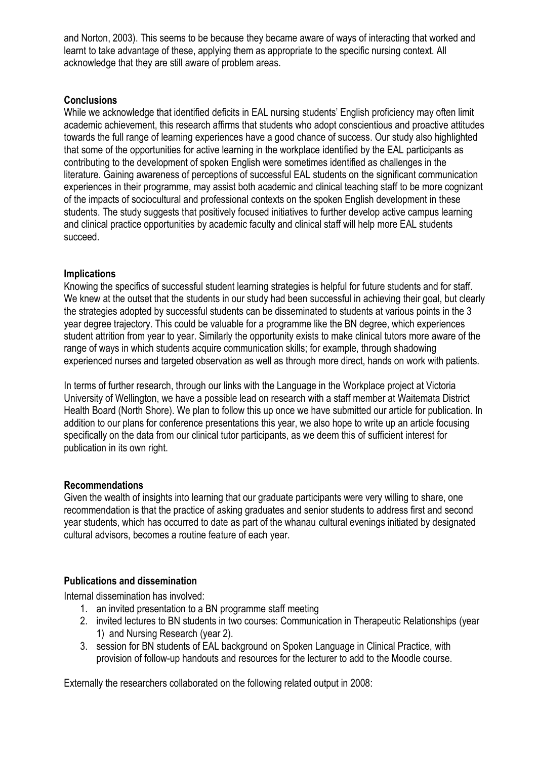and Norton, 2003). This seems to be because they became aware of ways of interacting that worked and learnt to take advantage of these, applying them as appropriate to the specific nursing context. All acknowledge that they are still aware of problem areas.

### **Conclusions**

While we acknowledge that identified deficits in EAL nursing students' English proficiency may often limit academic achievement, this research affirms that students who adopt conscientious and proactive attitudes towards the full range of learning experiences have a good chance of success. Our study also highlighted that some of the opportunities for active learning in the workplace identified by the EAL participants as contributing to the development of spoken English were sometimes identified as challenges in the literature. Gaining awareness of perceptions of successful EAL students on the significant communication experiences in their programme, may assist both academic and clinical teaching staff to be more cognizant of the impacts of sociocultural and professional contexts on the spoken English development in these students. The study suggests that positively focused initiatives to further develop active campus learning and clinical practice opportunities by academic faculty and clinical staff will help more EAL students succeed.

## **Implications**

Knowing the specifics of successful student learning strategies is helpful for future students and for staff. We knew at the outset that the students in our study had been successful in achieving their goal, but clearly the strategies adopted by successful students can be disseminated to students at various points in the 3 year degree trajectory. This could be valuable for a programme like the BN degree, which experiences student attrition from year to year. Similarly the opportunity exists to make clinical tutors more aware of the range of ways in which students acquire communication skills; for example, through shadowing experienced nurses and targeted observation as well as through more direct, hands on work with patients.

In terms of further research, through our links with the Language in the Workplace project at Victoria University of Wellington, we have a possible lead on research with a staff member at Waitemata District Health Board (North Shore). We plan to follow this up once we have submitted our article for publication. In addition to our plans for conference presentations this year, we also hope to write up an article focusing specifically on the data from our clinical tutor participants, as we deem this of sufficient interest for publication in its own right.

#### **Recommendations**

Given the wealth of insights into learning that our graduate participants were very willing to share, one recommendation is that the practice of asking graduates and senior students to address first and second year students, which has occurred to date as part of the whanau cultural evenings initiated by designated cultural advisors, becomes a routine feature of each year.

# **Publications and dissemination**

Internal dissemination has involved:

- 1. an invited presentation to a BN programme staff meeting
- 2. invited lectures to BN students in two courses: Communication in Therapeutic Relationships (year 1) and Nursing Research (year 2).
- 3. session for BN students of EAL background on Spoken Language in Clinical Practice, with provision of follow-up handouts and resources for the lecturer to add to the Moodle course.

Externally the researchers collaborated on the following related output in 2008: